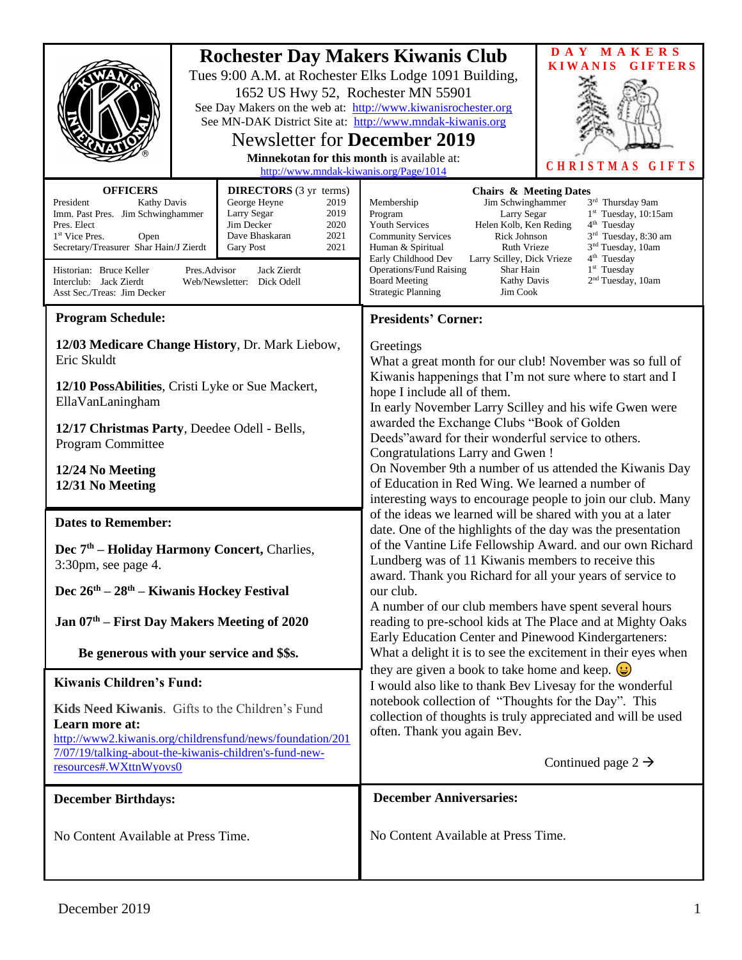| <b>Rochester Day Makers Kiwanis Club</b><br>Tues 9:00 A.M. at Rochester Elks Lodge 1091 Building,<br>1652 US Hwy 52, Rochester MN 55901<br>See Day Makers on the web at: http://www.kiwanisrochester.org<br>See MN-DAK District Site at: http://www.mndak-kiwanis.org<br><b>Newsletter for December 2019</b><br><b>Minnekotan for this month is available at:</b><br>http://www.mndak-kiwanis.org/Page/1014                                                                                                                           |  |                                                                                                                                                                                                                                                                                                                                                                                                                                                                                                                                                                                                                                                                                                                                                                                                                                                                                                                                                                                                                                                                                                                                                                                                                                                                                                                                                                                                                                            | MAKERS<br>D A Y<br><b>KIWANIS</b><br><b>GIFTERS</b><br>CHRISTMAS<br>GIFTS |
|---------------------------------------------------------------------------------------------------------------------------------------------------------------------------------------------------------------------------------------------------------------------------------------------------------------------------------------------------------------------------------------------------------------------------------------------------------------------------------------------------------------------------------------|--|--------------------------------------------------------------------------------------------------------------------------------------------------------------------------------------------------------------------------------------------------------------------------------------------------------------------------------------------------------------------------------------------------------------------------------------------------------------------------------------------------------------------------------------------------------------------------------------------------------------------------------------------------------------------------------------------------------------------------------------------------------------------------------------------------------------------------------------------------------------------------------------------------------------------------------------------------------------------------------------------------------------------------------------------------------------------------------------------------------------------------------------------------------------------------------------------------------------------------------------------------------------------------------------------------------------------------------------------------------------------------------------------------------------------------------------------|---------------------------------------------------------------------------|
| <b>OFFICERS</b><br><b>DIRECTORS</b> (3 yr terms)<br>President<br>George Heyne<br><b>Kathy Davis</b><br>2019<br>Imm. Past Pres. Jim Schwinghammer<br>Larry Segar<br>2019<br>Jim Decker<br>2020<br>Pres. Elect<br>Dave Bhaskaran<br>2021<br>1 <sup>st</sup> Vice Pres.<br>Open<br>Secretary/Treasurer Shar Hain/J Zierdt<br>2021<br><b>Gary Post</b><br>Jack Zierdt<br>Historian: Bruce Keller<br>Pres.Advisor<br>Interclub: Jack Zierdt<br>Web/Newsletter: Dick Odell<br>Asst Sec./Treas: Jim Decker                                   |  | <b>Chairs &amp; Meeting Dates</b><br>Jim Schwinghammer<br>3rd Thursday 9am<br>Membership<br>Larry Segar<br>$1st$ Tuesday, 10:15am<br>Program<br><b>Youth Services</b><br>Helen Kolb, Ken Reding<br>$4th$ Tuesday<br>3 <sup>rd</sup> Tuesday, 8:30 am<br><b>Community Services</b><br>Rick Johnson<br>3 <sup>nd</sup> Tuesday, 10am<br>Ruth Vrieze<br>Human & Spiritual<br>4 <sup>th</sup> Tuesday<br>Early Childhood Dev<br>Larry Scilley, Dick Vrieze<br>1 <sup>st</sup> Tuesday<br><b>Operations/Fund Raising</b><br>Shar Hain<br>2 <sup>nd</sup> Tuesday, 10am<br><b>Board Meeting</b><br><b>Kathy Davis</b><br><b>Strategic Planning</b><br>Jim Cook                                                                                                                                                                                                                                                                                                                                                                                                                                                                                                                                                                                                                                                                                                                                                                                   |                                                                           |
| <b>Program Schedule:</b>                                                                                                                                                                                                                                                                                                                                                                                                                                                                                                              |  | <b>Presidents' Corner:</b>                                                                                                                                                                                                                                                                                                                                                                                                                                                                                                                                                                                                                                                                                                                                                                                                                                                                                                                                                                                                                                                                                                                                                                                                                                                                                                                                                                                                                 |                                                                           |
| 12/03 Medicare Change History, Dr. Mark Liebow,<br>Eric Skuldt<br>12/10 PossAbilities, Cristi Lyke or Sue Mackert,<br>EllaVanLaningham<br>12/17 Christmas Party, Deedee Odell - Bells,<br>Program Committee<br>12/24 No Meeting<br>12/31 No Meeting<br><b>Dates to Remember:</b><br>Dec 7 <sup>th</sup> – Holiday Harmony Concert, Charlies,<br>3:30pm, see page 4.<br>Dec 26 <sup>th</sup> - 28 <sup>th</sup> - Kiwanis Hockey Festival<br>Jan $07th$ – First Day Makers Meeting of 2020<br>Be generous with your service and \$\$s. |  | Greetings<br>What a great month for our club! November was so full of<br>Kiwanis happenings that I'm not sure where to start and I<br>hope I include all of them.<br>In early November Larry Scilley and his wife Gwen were<br>awarded the Exchange Clubs "Book of Golden<br>Deeds" award for their wonderful service to others.<br>Congratulations Larry and Gwen!<br>On November 9th a number of us attended the Kiwanis Day<br>of Education in Red Wing. We learned a number of<br>interesting ways to encourage people to join our club. Many<br>of the ideas we learned will be shared with you at a later<br>date. One of the highlights of the day was the presentation<br>of the Vantine Life Fellowship Award. and our own Richard<br>Lundberg was of 11 Kiwanis members to receive this<br>award. Thank you Richard for all your years of service to<br>our club.<br>A number of our club members have spent several hours<br>reading to pre-school kids at The Place and at Mighty Oaks<br>Early Education Center and Pinewood Kindergarteners:<br>What a delight it is to see the excitement in their eyes when<br>they are given a book to take home and keep. $\bigcirc$<br>I would also like to thank Bev Livesay for the wonderful<br>notebook collection of "Thoughts for the Day". This<br>collection of thoughts is truly appreciated and will be used<br>often. Thank you again Bev.<br>Continued page $2 \rightarrow$ |                                                                           |
| <b>Kiwanis Children's Fund:</b>                                                                                                                                                                                                                                                                                                                                                                                                                                                                                                       |  |                                                                                                                                                                                                                                                                                                                                                                                                                                                                                                                                                                                                                                                                                                                                                                                                                                                                                                                                                                                                                                                                                                                                                                                                                                                                                                                                                                                                                                            |                                                                           |
| Kids Need Kiwanis. Gifts to the Children's Fund<br>Learn more at:<br>http://www2.kiwanis.org/childrensfund/news/foundation/201<br>7/07/19/talking-about-the-kiwanis-children's-fund-new-<br>resources#.WXttnWyovs0                                                                                                                                                                                                                                                                                                                    |  |                                                                                                                                                                                                                                                                                                                                                                                                                                                                                                                                                                                                                                                                                                                                                                                                                                                                                                                                                                                                                                                                                                                                                                                                                                                                                                                                                                                                                                            |                                                                           |
| <b>December Birthdays:</b>                                                                                                                                                                                                                                                                                                                                                                                                                                                                                                            |  | <b>December Anniversaries:</b>                                                                                                                                                                                                                                                                                                                                                                                                                                                                                                                                                                                                                                                                                                                                                                                                                                                                                                                                                                                                                                                                                                                                                                                                                                                                                                                                                                                                             |                                                                           |
| No Content Available at Press Time.                                                                                                                                                                                                                                                                                                                                                                                                                                                                                                   |  | No Content Available at Press Time.                                                                                                                                                                                                                                                                                                                                                                                                                                                                                                                                                                                                                                                                                                                                                                                                                                                                                                                                                                                                                                                                                                                                                                                                                                                                                                                                                                                                        |                                                                           |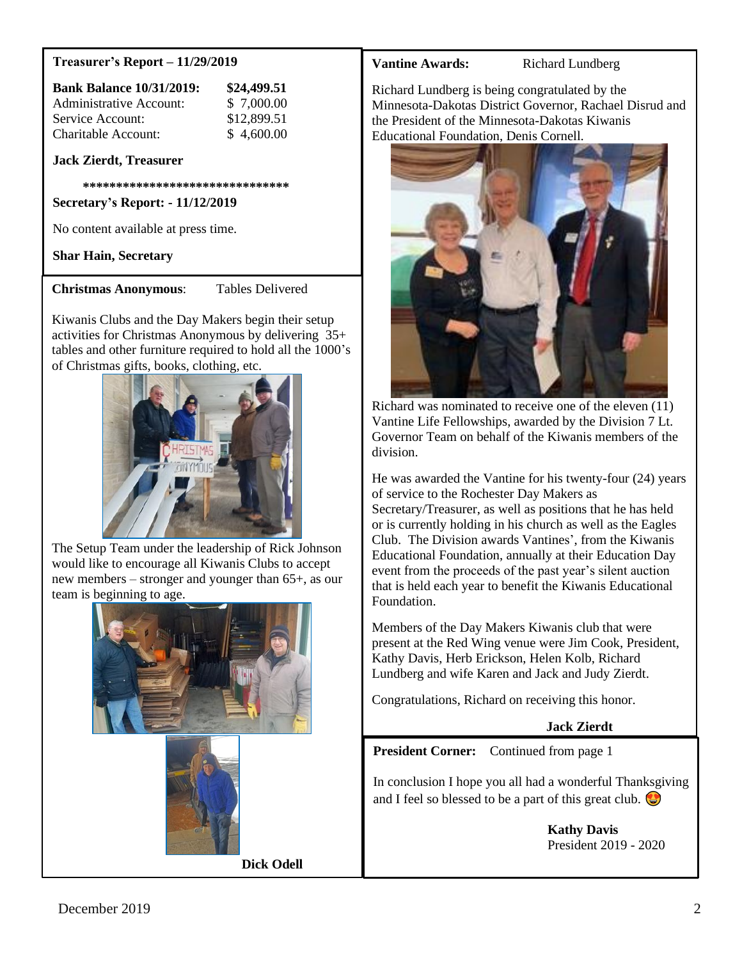### **Treasurer's Report – 11/29/2019**

| <b>Bank Balance 10/31/2019:</b> | \$24,499.51 |
|---------------------------------|-------------|
| Administrative Account:         | \$ 7,000.00 |
| Service Account:                | \$12,899.51 |
| Charitable Account:             | \$4,600.00  |

### **Jack Zierdt, Treasurer**

 **\*\*\*\*\*\*\*\*\*\*\*\*\*\*\*\*\*\*\*\*\*\*\*\*\*\*\*\*\*\*\***

**Secretary's Report: - 11/12/2019**

No content available at press time.

**Shar Hain, Secretary**

**Christmas Anonymous**: Tables Delivered

Kiwanis Clubs and the Day Makers begin their setup activities for Christmas Anonymous by delivering 35+ tables and other furniture required to hold all the 1000's of Christmas gifts, books, clothing, etc.



The Setup Team under the leadership of Rick Johnson would like to encourage all Kiwanis Clubs to accept new members – stronger and younger than 65+, as our team is beginning to age.





 **Dick Odell**

**Vantine Awards:** Richard Lundberg

Richard Lundberg is being congratulated by the Minnesota-Dakotas District Governor, Rachael Disrud and the President of the Minnesota-Dakotas Kiwanis Educational Foundation, Denis Cornell.



Richard was nominated to receive one of the eleven (11) Vantine Life Fellowships, awarded by the Division 7 Lt. Governor Team on behalf of the Kiwanis members of the division.

He was awarded the Vantine for his twenty-four (24) years of service to the Rochester Day Makers as Secretary/Treasurer, as well as positions that he has held or is currently holding in his church as well as the Eagles Club. The Division awards Vantines', from the Kiwanis Educational Foundation, annually at their Education Day event from the proceeds of the past year's silent auction that is held each year to benefit the Kiwanis Educational Foundation.

Members of the Day Makers Kiwanis club that were present at the Red Wing venue were Jim Cook, President, Kathy Davis, Herb Erickson, Helen Kolb, Richard Lundberg and wife Karen and Jack and Judy Zierdt.

Congratulations, Richard on receiving this honor.

**Jack Zierdt**

**President Corner:** Continued from page 1

In conclusion I hope you all had a wonderful Thanksgiving and I feel so blessed to be a part of this great club.  $\bigcirc$ 

> **Kathy Davis** President 2019 - 2020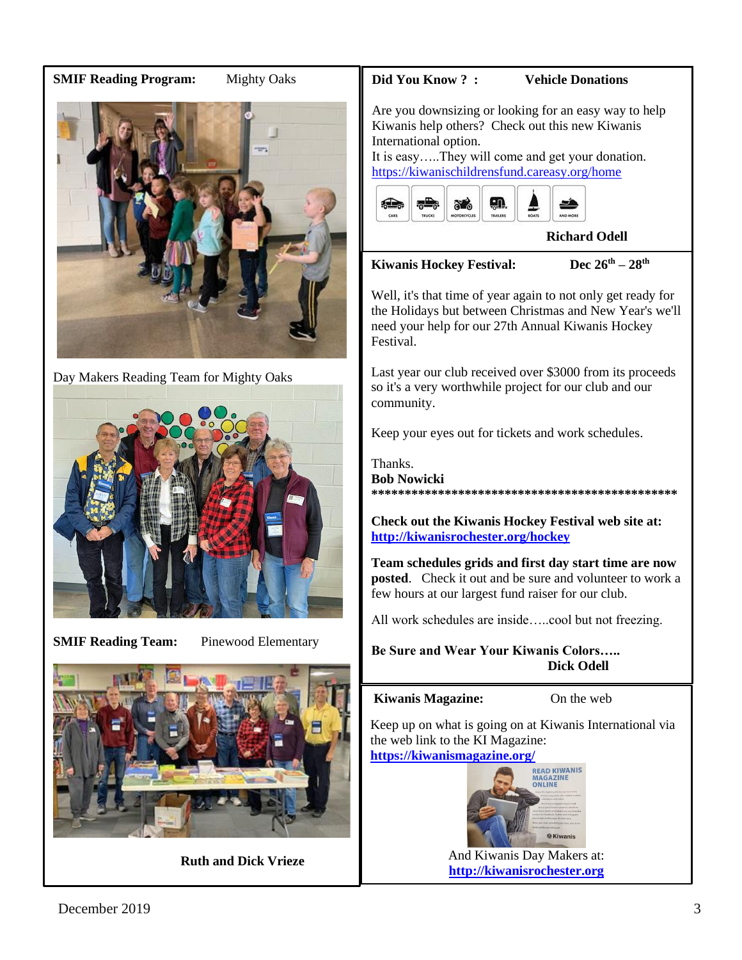## **SMIF Reading Program:** Mighty Oaks



Day Makers Reading Team for Mighty Oaks



**SMIF Reading Team:** Pinewood Elementary



 **Ruth and Dick Vrieze**

### **Did You Know ? : Vehicle Donations**

Are you downsizing or looking for an easy way to help Kiwanis help others? Check out this new Kiwanis International option.

It is easy…..They will come and get your donation. <https://kiwanischildrensfund.careasy.org/home>



**Richard Odell**

## **Kiwanis Hockey Festival: Dec 26th – 28th**

Well, it's that time of year again to not only get ready for the Holidays but between Christmas and New Year's we'll need your help for our 27th Annual Kiwanis Hockey Festival.

Last year our club received over \$3000 from its proceeds so it's a very worthwhile project for our club and our community.

Keep your eyes out for tickets and work schedules.

Thanks. **Bob Nowicki \*\*\*\*\*\*\*\*\*\*\*\*\*\*\*\*\*\*\*\*\*\*\*\*\*\*\*\*\*\*\*\*\*\*\*\*\*\*\*\*\*\*\*\*\*\***

**Check out the Kiwanis Hockey Festival web site at: <http://kiwanisrochester.org/hockey>**

**Team schedules grids and first day start time are now posted.** Check it out and be sure and volunteer to work a few hours at our largest fund raiser for our club.

All work schedules are inside…..cool but not freezing.

**Be Sure and Wear Your Kiwanis Colors….. Dick Odell**

### **Kiwanis Magazine:** On the web

Keep up on what is going on at Kiwanis International via the web link to the KI Magazine:



And Kiwanis Day Makers at: **[http://kiwanisrochester.org](http://kiwanisrochester.org/)**